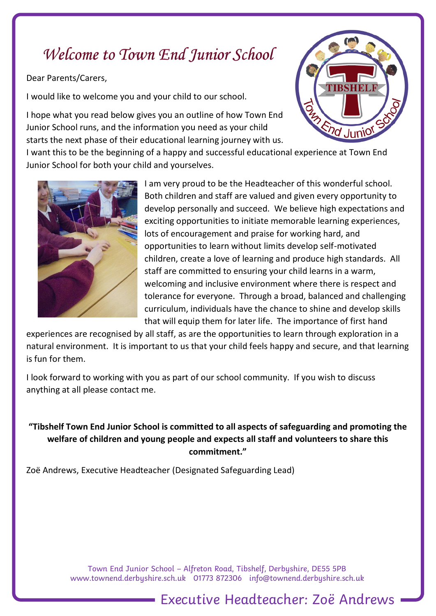# Welcome to Town End Junior School

Dear Parents/Carers,

I would like to welcome you and your child to our school.

I hope what you read below gives you an outline of how Town End Junior School runs, and the information you need as your child starts the next phase of their educational learning journey with us.



I want this to be the beginning of a happy and successful educational experience at Town End Junior School for both your child and yourselves.



I am very proud to be the Headteacher of this wonderful school. Both children and staff are valued and given every opportunity to develop personally and succeed. We believe high expectations and exciting opportunities to initiate memorable learning experiences, lots of encouragement and praise for working hard, and opportunities to learn without limits develop self-motivated children, create a love of learning and produce high standards. All staff are committed to ensuring your child learns in a warm, welcoming and inclusive environment where there is respect and tolerance for everyone. Through a broad, balanced and challenging curriculum, individuals have the chance to shine and develop skills that will equip them for later life. The importance of first hand

experiences are recognised by all staff, as are the opportunities to learn through exploration in a natural environment. It is important to us that your child feels happy and secure, and that learning is fun for them.

I look forward to working with you as part of our school community. If you wish to discuss anything at all please contact me.

**"Tibshelf Town End Junior School is committed to all aspects of safeguarding and promoting the welfare of children and young people and expects all staff and volunteers to share this commitment."**

Zoë Andrews, Executive Headteacher (Designated Safeguarding Lead)

Town End Junior School – Alfreton Road, Tibshelf, Derbyshire, DE55 5PB [www.townend.derbyshire.sch.uk](http://www.townend.derbyshire.sch.uk/) 01773 872306 info@townend.derbyshire.sch.uk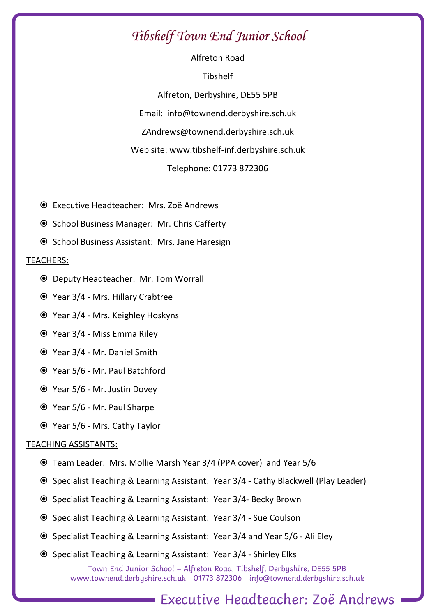# Tibshelf Town End Junior School

Alfreton Road Tibshelf Alfreton, Derbyshire, DE55 5PB Email: info@townend.derbyshire.sch.uk ZAndrews@townend.derbyshire.sch.uk Web site: www.tibshelf-inf.derbyshire.sch.uk Telephone: 01773 872306

- Executive Headteacher: Mrs. Zoë Andrews
- School Business Manager: Mr. Chris Cafferty
- **■** School Business Assistant: Mrs. Jane Haresign

### TEACHERS:

- Deputy Headteacher: Mr. Tom Worrall
- Year 3/4 Mrs. Hillary Crabtree
- Year 3/4 Mrs. Keighley Hoskyns
- Year 3/4 Miss Emma Riley
- Year 3/4 Mr. Daniel Smith
- Year 5/6 Mr. Paul Batchford
- Year 5/6 Mr. Justin Dovey
- Year 5/6 Mr. Paul Sharpe
- Year 5/6 Mrs. Cathy Taylor

### TEACHING ASSISTANTS:

- Team Leader: Mrs. Mollie Marsh Year 3/4 (PPA cover) and Year 5/6
- Specialist Teaching & Learning Assistant: Year 3/4 Cathy Blackwell (Play Leader)
- Specialist Teaching & Learning Assistant: Year 3/4- Becky Brown
- Specialist Teaching & Learning Assistant: Year 3/4 Sue Coulson
- Specialist Teaching & Learning Assistant: Year 3/4 and Year 5/6 Ali Eley
- Specialist Teaching & Learning Assistant: Year 3/4 Shirley Elks

Town End Junior School – Alfreton Road, Tibshelf, Derbyshire, DE55 5PB [www.townend.derbyshire.sch.uk](http://www.townend.derbyshire.sch.uk/) 01773 872306 info@townend.derbyshire.sch.uk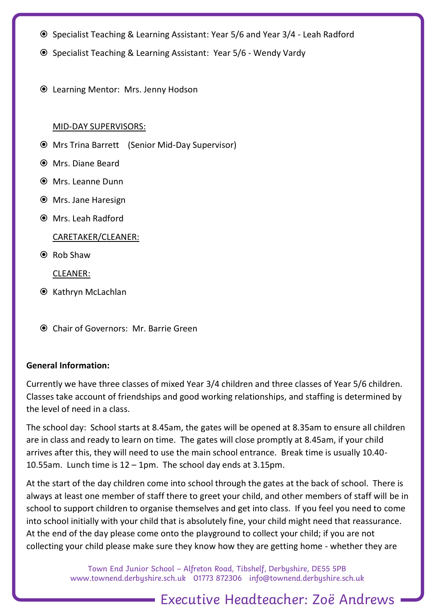- Specialist Teaching & Learning Assistant: Year 5/6 and Year 3/4 Leah Radford
- Specialist Teaching & Learning Assistant: Year 5/6 Wendy Vardy
- Learning Mentor: Mrs. Jenny Hodson

#### MID-DAY SUPERVISORS:

- Mrs Trina Barrett (Senior Mid-Day Supervisor)
- Mrs. Diane Beard
- Mrs. Leanne Dunn
- Mrs. Jane Haresign
- Mrs. Leah Radford

#### CARETAKER/CLEANER:

Rob Shaw

CLEANER:

- **■** Kathryn McLachlan
- Chair of Governors: Mr. Barrie Green

### **General Information:**

Currently we have three classes of mixed Year 3/4 children and three classes of Year 5/6 children. Classes take account of friendships and good working relationships, and staffing is determined by the level of need in a class.

The school day: School starts at 8.45am, the gates will be opened at 8.35am to ensure all children are in class and ready to learn on time. The gates will close promptly at 8.45am, if your child arrives after this, they will need to use the main school entrance. Break time is usually 10.40- 10.55am. Lunch time is 12 – 1pm. The school day ends at 3.15pm.

At the start of the day children come into school through the gates at the back of school. There is always at least one member of staff there to greet your child, and other members of staff will be in school to support children to organise themselves and get into class. If you feel you need to come into school initially with your child that is absolutely fine, your child might need that reassurance. At the end of the day please come onto the playground to collect your child; if you are not collecting your child please make sure they know how they are getting home - whether they are

> Town End Junior School – Alfreton Road, Tibshelf, Derbyshire, DE55 5PB [www.townend.derbyshire.sch.uk](http://www.townend.derbyshire.sch.uk/) 01773 872306 info@townend.derbyshire.sch.uk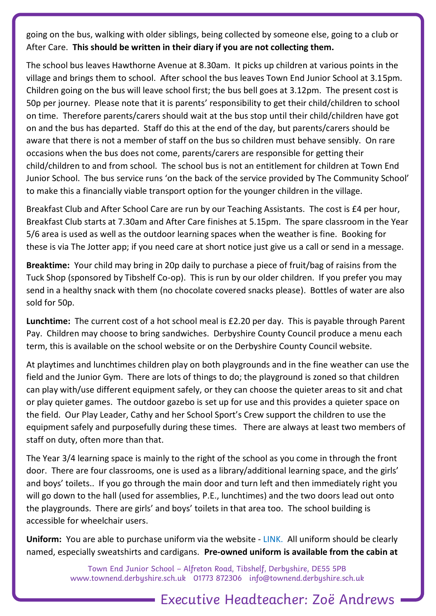going on the bus, walking with older siblings, being collected by someone else, going to a club or After Care. **This should be written in their diary if you are not collecting them.**

The school bus leaves Hawthorne Avenue at 8.30am. It picks up children at various points in the village and brings them to school. After school the bus leaves Town End Junior School at 3.15pm. Children going on the bus will leave school first; the bus bell goes at 3.12pm. The present cost is 50p per journey. Please note that it is parents' responsibility to get their child/children to school on time. Therefore parents/carers should wait at the bus stop until their child/children have got on and the bus has departed. Staff do this at the end of the day, but parents/carers should be aware that there is not a member of staff on the bus so children must behave sensibly. On rare occasions when the bus does not come, parents/carers are responsible for getting their child/children to and from school. The school bus is not an entitlement for children at Town End Junior School. The bus service runs 'on the back of the service provided by The Community School' to make this a financially viable transport option for the younger children in the village.

Breakfast Club and After School Care are run by our Teaching Assistants. The cost is £4 per hour, Breakfast Club starts at 7.30am and After Care finishes at 5.15pm. The spare classroom in the Year 5/6 area is used as well as the outdoor learning spaces when the weather is fine. Booking for these is via The Jotter app; if you need care at short notice just give us a call or send in a message.

**Breaktime:** Your child may bring in 20p daily to purchase a piece of fruit/bag of raisins from the Tuck Shop (sponsored by Tibshelf Co-op). This is run by our older children. If you prefer you may send in a healthy snack with them (no chocolate covered snacks please). Bottles of water are also sold for 50p.

**Lunchtime:** The current cost of a hot school meal is £2.20 per day. This is payable through Parent Pay. Children may choose to bring sandwiches. Derbyshire County Council produce a menu each term, this is available on the school website or on the Derbyshire County Council website.

At playtimes and lunchtimes children play on both playgrounds and in the fine weather can use the field and the Junior Gym. There are lots of things to do; the playground is zoned so that children can play with/use different equipment safely, or they can choose the quieter areas to sit and chat or play quieter games. The outdoor gazebo is set up for use and this provides a quieter space on the field. Our Play Leader, Cathy and her School Sport's Crew support the children to use the equipment safely and purposefully during these times. There are always at least two members of staff on duty, often more than that.

The Year 3/4 learning space is mainly to the right of the school as you come in through the front door. There are four classrooms, one is used as a library/additional learning space, and the girls' and boys' toilets.. If you go through the main door and turn left and then immediately right you will go down to the hall (used for assemblies, P.E., lunchtimes) and the two doors lead out onto the playgrounds. There are girls' and boys' toilets in that area too. The school building is accessible for wheelchair users.

**Uniform:** You are able to purchase uniform via the website - LINK. All uniform should be clearly named, especially sweatshirts and cardigans. **Pre-owned uniform is available from the cabin at** 

> Town End Junior School – Alfreton Road, Tibshelf, Derbyshire, DE55 5PB [www.townend.derbyshire.sch.uk](http://www.townend.derbyshire.sch.uk/) 01773 872306 info@townend.derbyshire.sch.uk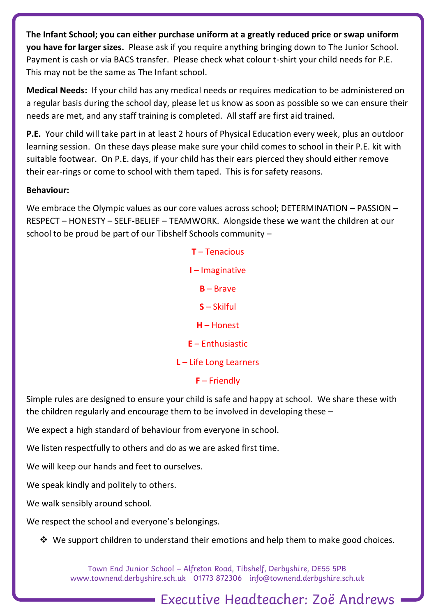**The Infant School; you can either purchase uniform at a greatly reduced price or swap uniform you have for larger sizes.** Please ask if you require anything bringing down to The Junior School. Payment is cash or via BACS transfer. Please check what colour t-shirt your child needs for P.E. This may not be the same as The Infant school.

**Medical Needs:** If your child has any medical needs or requires medication to be administered on a regular basis during the school day, please let us know as soon as possible so we can ensure their needs are met, and any staff training is completed. All staff are first aid trained.

**P.E.** Your child will take part in at least 2 hours of Physical Education every week, plus an outdoor learning session. On these days please make sure your child comes to school in their P.E. kit with suitable footwear. On P.E. days, if your child has their ears pierced they should either remove their ear-rings or come to school with them taped. This is for safety reasons.

## **Behaviour:**

We embrace the Olympic values as our core values across school; DETERMINATION – PASSION – RESPECT – HONESTY – SELF-BELIEF – TEAMWORK. Alongside these we want the children at our school to be proud be part of our Tibshelf Schools community –

> **T** – Tenacious **I** – Imaginative **B** – Brave **S** – Skilful **H** – Honest **E** – Enthusiastic **L** – Life Long Learners **F** – Friendly

Simple rules are designed to ensure your child is safe and happy at school. We share these with the children regularly and encourage them to be involved in developing these –

We expect a high standard of behaviour from everyone in school.

We listen respectfully to others and do as we are asked first time.

We will keep our hands and feet to ourselves.

We speak kindly and politely to others.

We walk sensibly around school.

We respect the school and everyone's belongings.

❖ We support children to understand their emotions and help them to make good choices.

Town End Junior School – Alfreton Road, Tibshelf, Derbyshire, DE55 5PB [www.townend.derbyshire.sch.uk](http://www.townend.derbyshire.sch.uk/) 01773 872306 info@townend.derbyshire.sch.uk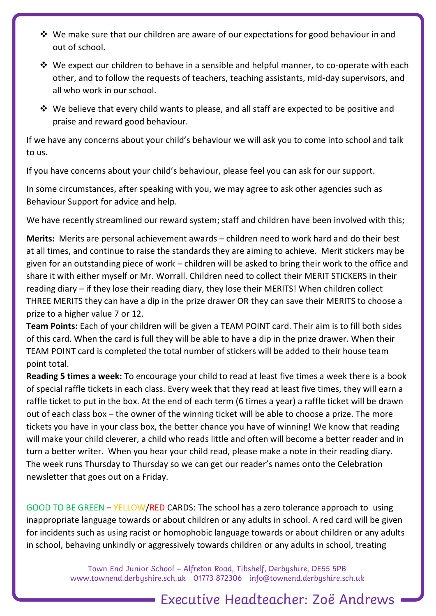- ❖ We make sure that our children are aware of our expectations for good behaviour in and out of school.
- ❖ We expect our children to behave in a sensible and helpful manner, to co-operate with each other, and to follow the requests of teachers, teaching assistants, mid-day supervisors, and all who work in our school.
- ◆ We believe that every child wants to please, and all staff are expected to be positive and praise and reward good behaviour.

If we have any concerns about your child's behaviour we will ask you to come into school and talk to us.

If you have concerns about your child's behaviour, please feel you can ask for our support.

In some circumstances, after speaking with you, we may agree to ask other agencies such as Behaviour Support for advice and help.

We have recently streamlined our reward system; staff and children have been involved with this;

**Merits:** Merits are personal achievement awards – children need to work hard and do their best at all times, and continue to raise the standards they are aiming to achieve. Merit stickers may be given for an outstanding piece of work – children will be asked to bring their work to the office and share it with either myself or Mr. Worrall. Children need to collect their MERIT STICKERS in their reading diary – if they lose their reading diary, they lose their MERITS! When children collect THREE MERITS they can have a dip in the prize drawer OR they can save their MERITS to choose a prize to a higher value 7 or 12.

**Team Points:** Each of your children will be given a TEAM POINT card. Their aim is to fill both sides of this card. When the card is full they will be able to have a dip in the prize drawer. When their TEAM POINT card is completed the total number of stickers will be added to their house team point total.

**Reading 5 times a week:** To encourage your child to read at least five times a week there is a book of special raffle tickets in each class. Every week that they read at least five times, they will earn a raffle ticket to put in the box. At the end of each term (6 times a year) a raffle ticket will be drawn out of each class box – the owner of the winning ticket will be able to choose a prize. The more tickets you have in your class box, the better chance you have of winning! We know that reading will make your child cleverer, a child who reads little and often will become a better reader and in turn a better writer. When you hear your child read, please make a note in their reading diary. The week runs Thursday to Thursday so we can get our reader's names onto the Celebration newsletter that goes out on a Friday.

GOOD TO BE GREEN – YELLOW/RED CARDS: The school has a zero tolerance approach to using inappropriate language towards or about children or any adults in school. A red card will be given for incidents such as using racist or homophobic language towards or about children or any adults in school, behaving unkindly or aggressively towards children or any adults in school, treating

> Town End Junior School – Alfreton Road, Tibshelf, Derbyshire, DE55 5PB [www.townend.derbyshire.sch.uk](http://www.townend.derbyshire.sch.uk/) 01773 872306 info@townend.derbyshire.sch.uk